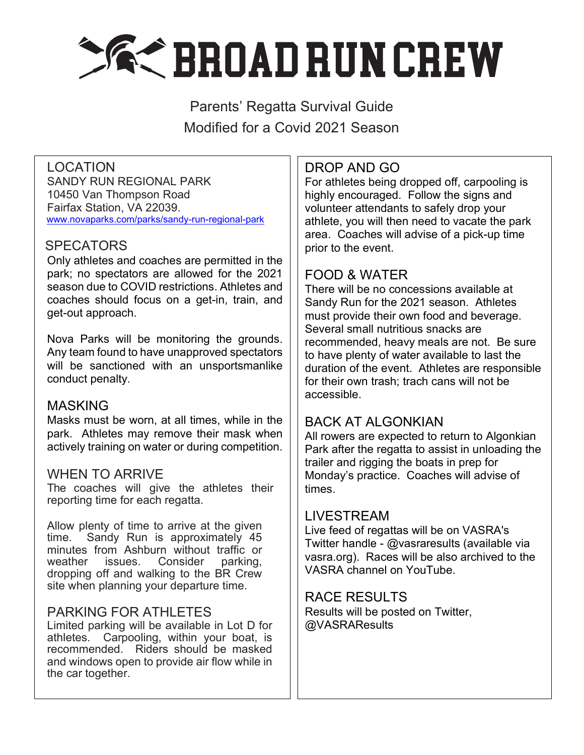

Parents' Regatta Survival Guide Modified for a Covid 2021 Season

## LOCATION

SANDY RUN REGIONAL PARK 10450 Van Thompson Road Fairfax Station, VA 22039. www.novaparks.com/parks/sandy-run-regional-park

### **SPECATORS**

Only athletes and coaches are permitted in the park; no spectators are allowed for the 2021 season due to COVID restrictions. Athletes and coaches should focus on a get-in, train, and get-out approach.

Nova Parks will be monitoring the grounds. Any team found to have unapproved spectators will be sanctioned with an unsportsmanlike conduct penalty.

#### MASKING

Masks must be worn, at all times, while in the park. Athletes may remove their mask when actively training on water or during competition.

#### WHEN TO ARRIVE

The coaches will give the athletes their reporting time for each regatta.

Allow plenty of time to arrive at the given time. Sandy Run is approximately 45 minutes from Ashburn without traffic or weather issues. Consider parking, dropping off and walking to the BR Crew site when planning your departure time.

### PARKING FOR ATHLETES

Limited parking will be available in Lot D for athletes. Carpooling, within your boat, is recommended. Riders should be masked and windows open to provide air flow while in the car together.

# DROP AND GO

For athletes being dropped off, carpooling is highly encouraged. Follow the signs and volunteer attendants to safely drop your athlete, you will then need to vacate the park area. Coaches will advise of a pick-up time prior to the event.

# FOOD & WATER

There will be no concessions available at Sandy Run for the 2021 season. Athletes must provide their own food and beverage. Several small nutritious snacks are recommended, heavy meals are not. Be sure to have plenty of water available to last the duration of the event. Athletes are responsible for their own trash; trach cans will not be accessible.

## BACK AT ALGONKIAN

All rowers are expected to return to Algonkian Park after the regatta to assist in unloading the trailer and rigging the boats in prep for Monday's practice. Coaches will advise of times.

### LIVESTREAM

Live feed of regattas will be on VASRA's Twitter handle - @vasraresults (available via vasra.org). Races will be also archived to the VASRA channel on YouTube.

#### RACE RESULTS

Results will be posted on Twitter, @VASRAResults